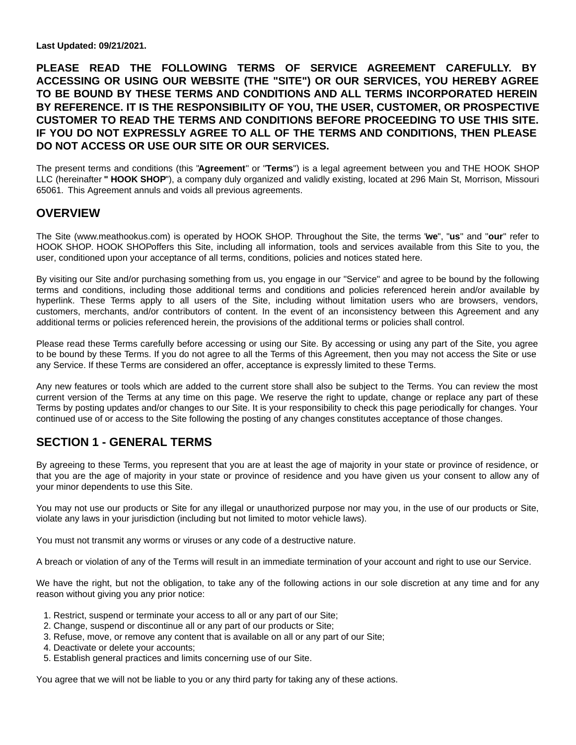**Last Updated: 09/21/2021.**

**PLEASE READ THE FOLLOWING TERMS OF SERVICE AGREEMENT CAREFULLY. BY ACCESSING OR USING OUR WEBSITE (THE "SITE") OR OUR SERVICES, YOU HEREBY AGREE TO BE BOUND BY THESE TERMS AND CONDITIONS AND ALL TERMS INCORPORATED HEREIN BY REFERENCE. IT IS THE RESPONSIBILITY OF YOU, THE USER, CUSTOMER, OR PROSPECTIVE CUSTOMER TO READ THE TERMS AND CONDITIONS BEFORE PROCEEDING TO USE THIS SITE. IF YOU DO NOT EXPRESSLY AGREE TO ALL OF THE TERMS AND CONDITIONS, THEN PLEASE DO NOT ACCESS OR USE OUR SITE OR OUR SERVICES.**

The present terms and conditions (this "**Agreement**" or "**Terms**") is a legal agreement between you and THE HOOK SHOP LLC (hereinafter **" HOOK SHOP**"), a company duly organized and validly existing, located at 296 Main St, Morrison, Missouri 65061. This Agreement annuls and voids all previous agreements.

### **OVERVIEW**

The Site (www.meathookus.com) is operated by HOOK SHOP. Throughout the Site, the terms "**we**", "**us**" and "**our**" refer to HOOK SHOP. HOOK SHOPoffers this Site, including all information, tools and services available from this Site to you, the user, conditioned upon your acceptance of all terms, conditions, policies and notices stated here.

By visiting our Site and/or purchasing something from us, you engage in our "Service" and agree to be bound by the following terms and conditions, including those additional terms and conditions and policies referenced herein and/or available by hyperlink. These Terms apply to all users of the Site, including without limitation users who are browsers, vendors, customers, merchants, and/or contributors of content. In the event of an inconsistency between this Agreement and any additional terms or policies referenced herein, the provisions of the additional terms or policies shall control.

Please read these Terms carefully before accessing or using our Site. By accessing or using any part of the Site, you agree to be bound by these Terms. If you do not agree to all the Terms of this Agreement, then you may not access the Site or use any Service. If these Terms are considered an offer, acceptance is expressly limited to these Terms.

Any new features or tools which are added to the current store shall also be subject to the Terms. You can review the most current version of the Terms at any time on this page. We reserve the right to update, change or replace any part of these Terms by posting updates and/or changes to our Site. It is your responsibility to check this page periodically for changes. Your continued use of or access to the Site following the posting of any changes constitutes acceptance of those changes.

# **SECTION 1 - GENERAL TERMS**

By agreeing to these Terms, you represent that you are at least the age of majority in your state or province of residence, or that you are the age of majority in your state or province of residence and you have given us your consent to allow any of your minor dependents to use this Site.

You may not use our products or Site for any illegal or unauthorized purpose nor may you, in the use of our products or Site, violate any laws in your jurisdiction (including but not limited to motor vehicle laws).

You must not transmit any worms or viruses or any code of a destructive nature.

A breach or violation of any of the Terms will result in an immediate termination of your account and right to use our Service.

We have the right, but not the obligation, to take any of the following actions in our sole discretion at any time and for any reason without giving you any prior notice:

- 1. Restrict, suspend or terminate your access to all or any part of our Site;
- 2. Change, suspend or discontinue all or any part of our products or Site;
- 3. Refuse, move, or remove any content that is available on all or any part of our Site;
- 4. Deactivate or delete your accounts;
- 5. Establish general practices and limits concerning use of our Site.

You agree that we will not be liable to you or any third party for taking any of these actions.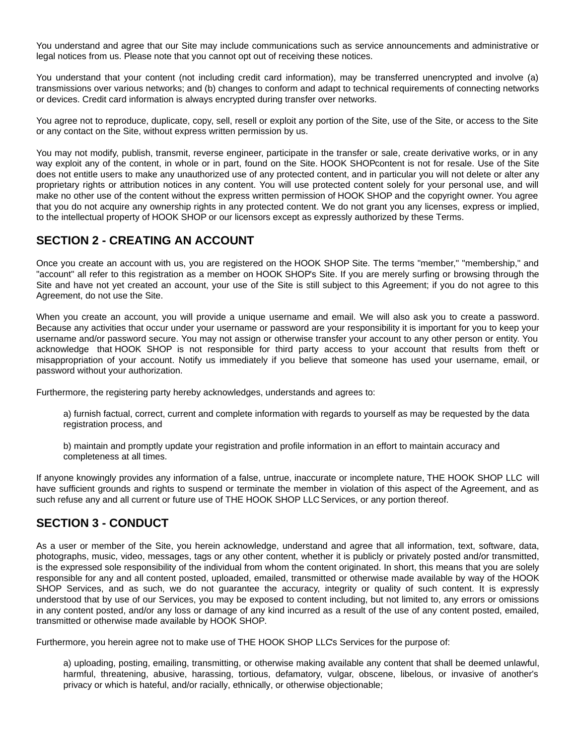You understand and agree that our Site may include communications such as service announcements and administrative or legal notices from us. Please note that you cannot opt out of receiving these notices.

You understand that your content (not including credit card information), may be transferred unencrypted and involve (a) transmissions over various networks; and (b) changes to conform and adapt to technical requirements of connecting networks or devices. Credit card information is always encrypted during transfer over networks.

You agree not to reproduce, duplicate, copy, sell, resell or exploit any portion of the Site, use of the Site, or access to the Site or any contact on the Site, without express written permission by us.

You may not modify, publish, transmit, reverse engineer, participate in the transfer or sale, create derivative works, or in any way exploit any of the content, in whole or in part, found on the Site. HOOK SHOPcontent is not for resale. Use of the Site does not entitle users to make any unauthorized use of any protected content, and in particular you will not delete or alter any proprietary rights or attribution notices in any content. You will use protected content solely for your personal use, and will make no other use of the content without the express written permission of HOOK SHOP and the copyright owner. You agree that you do not acquire any ownership rights in any protected content. We do not grant you any licenses, express or implied, to the intellectual property of HOOK SHOP or our licensors except as expressly authorized by these Terms.

# **SECTION 2 - CREATING AN ACCOUNT**

Once you create an account with us, you are registered on the HOOK SHOP Site. The terms "member," "membership," and "account" all refer to this registration as a member on HOOK SHOP's Site. If you are merely surfing or browsing through the Site and have not yet created an account, your use of the Site is still subject to this Agreement; if you do not agree to this Agreement, do not use the Site.

When you create an account, you will provide a unique username and email. We will also ask you to create a password. Because any activities that occur under your username or password are your responsibility it is important for you to keep your username and/or password secure. You may not assign or otherwise transfer your account to any other person or entity. You acknowledge that HOOK SHOP is not responsible for third party access to your account that results from theft or misappropriation of your account. Notify us immediately if you believe that someone has used your username, email, or password without your authorization.

Furthermore, the registering party hereby acknowledges, understands and agrees to:

a) furnish factual, correct, current and complete information with regards to yourself as may be requested by the data registration process, and

b) maintain and promptly update your registration and profile information in an effort to maintain accuracy and completeness at all times.

If anyone knowingly provides any information of a false, untrue, inaccurate or incomplete nature, THE HOOK SHOP LLC will have sufficient grounds and rights to suspend or terminate the member in violation of this aspect of the Agreement, and as such refuse any and all current or future use of THE HOOK SHOP LLC Services, or any portion thereof.

# **SECTION 3 - CONDUCT**

As a user or member of the Site, you herein acknowledge, understand and agree that all information, text, software, data, photographs, music, video, messages, tags or any other content, whether it is publicly or privately posted and/or transmitted, is the expressed sole responsibility of the individual from whom the content originated. In short, this means that you are solely responsible for any and all content posted, uploaded, emailed, transmitted or otherwise made available by way of the HOOK SHOP Services, and as such, we do not quarantee the accuracy, integrity or quality of such content. It is expressly understood that by use of our Services, you may be exposed to content including, but not limited to, any errors or omissions in any content posted, and/or any loss or damage of any kind incurred as a result of the use of any content posted, emailed, transmitted or otherwise made available by HOOK SHOP.

Furthermore, you herein agree not to make use of THE HOOK SHOP LLC's Services for the purpose of:

a) uploading, posting, emailing, transmitting, or otherwise making available any content that shall be deemed unlawful, harmful, threatening, abusive, harassing, tortious, defamatory, vulgar, obscene, libelous, or invasive of another's privacy or which is hateful, and/or racially, ethnically, or otherwise objectionable;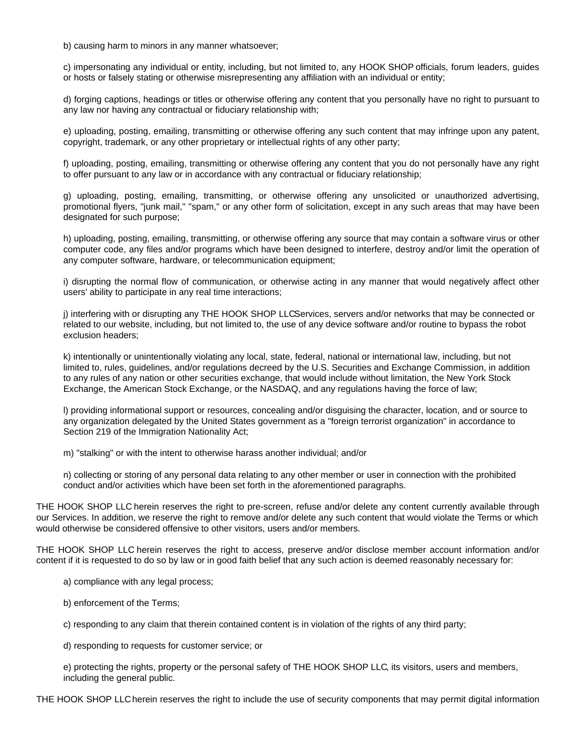b) causing harm to minors in any manner whatsoever;

c) impersonating any individual or entity, including, but not limited to, any HOOK SHOP officials, forum leaders, guides or hosts or falsely stating or otherwise misrepresenting any affiliation with an individual or entity;

d) forging captions, headings or titles or otherwise offering any content that you personally have no right to pursuant to any law nor having any contractual or fiduciary relationship with;

e) uploading, posting, emailing, transmitting or otherwise offering any such content that may infringe upon any patent, copyright, trademark, or any other proprietary or intellectual rights of any other party;

f) uploading, posting, emailing, transmitting or otherwise offering any content that you do not personally have any right to offer pursuant to any law or in accordance with any contractual or fiduciary relationship;

g) uploading, posting, emailing, transmitting, or otherwise offering any unsolicited or unauthorized advertising, promotional flyers, "junk mail," "spam," or any other form of solicitation, except in any such areas that may have been designated for such purpose;

h) uploading, posting, emailing, transmitting, or otherwise offering any source that may contain a software virus or other computer code, any files and/or programs which have been designed to interfere, destroy and/or limit the operation of any computer software, hardware, or telecommunication equipment;

i) disrupting the normal flow of communication, or otherwise acting in any manner that would negatively affect other users' ability to participate in any real time interactions;

j) interfering with or disrupting any THE HOOK SHOP LLCServices, servers and/or networks that may be connected or related to our website, including, but not limited to, the use of any device software and/or routine to bypass the robot exclusion headers;

k) intentionally or unintentionally violating any local, state, federal, national or international law, including, but not limited to, rules, guidelines, and/or regulations decreed by the U.S. Securities and Exchange Commission, in addition to any rules of any nation or other securities exchange, that would include without limitation, the New York Stock Exchange, the American Stock Exchange, or the NASDAQ, and any regulations having the force of law;

l) providing informational support or resources, concealing and/or disguising the character, location, and or source to any organization delegated by the United States government as a "foreign terrorist organization" in accordance to Section 219 of the Immigration Nationality Act;

m) "stalking" or with the intent to otherwise harass another individual; and/or

n) collecting or storing of any personal data relating to any other member or user in connection with the prohibited conduct and/or activities which have been set forth in the aforementioned paragraphs.

THE HOOK SHOP LLC herein reserves the right to pre-screen, refuse and/or delete any content currently available through our Services. In addition, we reserve the right to remove and/or delete any such content that would violate the Terms or which would otherwise be considered offensive to other visitors, users and/or members.

THE HOOK SHOP LLC herein reserves the right to access, preserve and/or disclose member account information and/or content if it is requested to do so by law or in good faith belief that any such action is deemed reasonably necessary for:

a) compliance with any legal process;

b) enforcement of the Terms;

c) responding to any claim that therein contained content is in violation of the rights of any third party;

d) responding to requests for customer service; or

e) protecting the rights, property or the personal safety of THE HOOK SHOP LLC, its visitors, users and members, including the general public.

THE HOOK SHOP LLC herein reserves the right to include the use of security components that may permit digital information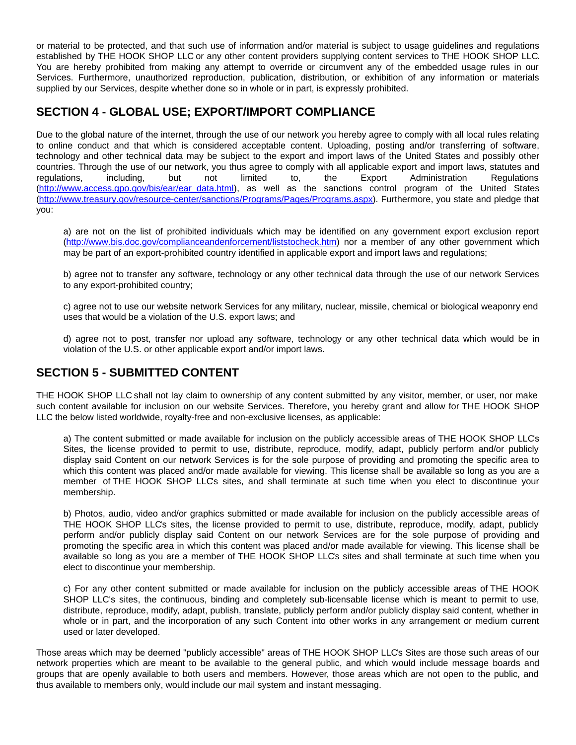or material to be protected, and that such use of information and/or material is subject to usage guidelines and regulations established by THE HOOK SHOP LLC or any other content providers supplying content services to THE HOOK SHOP LLC. You are hereby prohibited from making any attempt to override or circumvent any of the embedded usage rules in our Services. Furthermore, unauthorized reproduction, publication, distribution, or exhibition of any information or materials supplied by our Services, despite whether done so in whole or in part, is expressly prohibited.

# **SECTION 4 - GLOBAL USE; EXPORT/IMPORT COMPLIANCE**

Due to the global nature of the internet, through the use of our network you hereby agree to comply with all local rules relating to online conduct and that which is considered acceptable content. Uploading, posting and/or transferring of software, technology and other technical data may be subject to the export and import laws of the United States and possibly other countries. Through the use of our network, you thus agree to comply with all applicable export and import laws, statutes and regulations, including, but not limited to, the Export Administration Regulations (http://www.access.gpo.gov/bis/ear/ear\_data.html), as well as the sanctions control program of the United States (http://www.treasury.gov/resource-center/sanctions/Programs/Pages/Programs.aspx). Furthermore, you state and pledge that you:

a) are not on the list of prohibited individuals which may be identified on any government export exclusion report (http://www.bis.doc.gov/complianceandenforcement/liststocheck.htm) nor a member of any other government which may be part of an export-prohibited country identified in applicable export and import laws and regulations;

b) agree not to transfer any software, technology or any other technical data through the use of our network Services to any export-prohibited country;

c) agree not to use our website network Services for any military, nuclear, missile, chemical or biological weaponry end uses that would be a violation of the U.S. export laws; and

d) agree not to post, transfer nor upload any software, technology or any other technical data which would be in violation of the U.S. or other applicable export and/or import laws.

# **SECTION 5 - SUBMITTED CONTENT**

THE HOOK SHOP LLC shall not lay claim to ownership of any content submitted by any visitor, member, or user, nor make such content available for inclusion on our website Services. Therefore, you hereby grant and allow for THE HOOK SHOP LLC the below listed worldwide, royalty-free and non-exclusive licenses, as applicable:

a) The content submitted or made available for inclusion on the publicly accessible areas of THE HOOK SHOP LLC's Sites, the license provided to permit to use, distribute, reproduce, modify, adapt, publicly perform and/or publicly display said Content on our network Services is for the sole purpose of providing and promoting the specific area to which this content was placed and/or made available for viewing. This license shall be available so long as you are a member of THE HOOK SHOP LLC's sites, and shall terminate at such time when you elect to discontinue your membership.

b) Photos, audio, video and/or graphics submitted or made available for inclusion on the publicly accessible areas of THE HOOK SHOP LLC's sites, the license provided to permit to use, distribute, reproduce, modify, adapt, publicly perform and/or publicly display said Content on our network Services are for the sole purpose of providing and promoting the specific area in which this content was placed and/or made available for viewing. This license shall be available so long as you are a member of THE HOOK SHOP LLC's sites and shall terminate at such time when you elect to discontinue your membership.

c) For any other content submitted or made available for inclusion on the publicly accessible areas of THE HOOK SHOP LLC's sites, the continuous, binding and completely sub-licensable license which is meant to permit to use, distribute, reproduce, modify, adapt, publish, translate, publicly perform and/or publicly display said content, whether in whole or in part, and the incorporation of any such Content into other works in any arrangement or medium current used or later developed.

Those areas which may be deemed "publicly accessible" areas of THE HOOK SHOP LLC's Sites are those such areas of our network properties which are meant to be available to the general public, and which would include message boards and groups that are openly available to both users and members. However, those areas which are not open to the public, and thus available to members only, would include our mail system and instant messaging.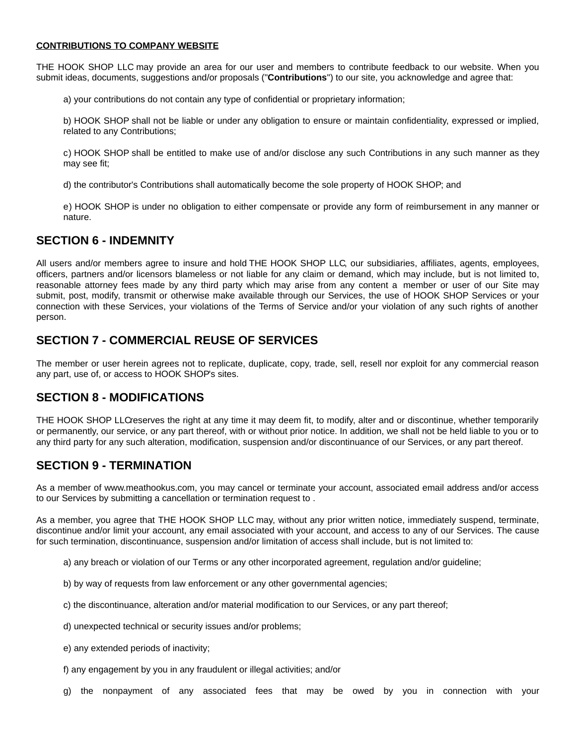#### **CONTRIBUTIONS TO COMPANY WEBSITE**

THE HOOK SHOP LLC may provide an area for our user and members to contribute feedback to our website. When you submit ideas, documents, suggestions and/or proposals ("**Contributions**") to our site, you acknowledge and agree that:

a) your contributions do not contain any type of confidential or proprietary information;

b) HOOK SHOP shall not be liable or under any obligation to ensure or maintain confidentiality, expressed or implied, related to any Contributions;

c) HOOK SHOP shall be entitled to make use of and/or disclose any such Contributions in any such manner as they may see fit;

d) the contributor's Contributions shall automatically become the sole property of HOOK SHOP; and

e) HOOK SHOP is under no obligation to either compensate or provide any form of reimbursement in any manner or nature.

#### **SECTION 6 - INDEMNITY**

All users and/or members agree to insure and hold THE HOOK SHOP LLC, our subsidiaries, affiliates, agents, employees, officers, partners and/or licensors blameless or not liable for any claim or demand, which may include, but is not limited to, reasonable attorney fees made by any third party which may arise from any content a member or user of our Site may submit, post, modify, transmit or otherwise make available through our Services, the use of HOOK SHOP Services or your connection with these Services, your violations of the Terms of Service and/or your violation of any such rights of another person.

# **SECTION 7 - COMMERCIAL REUSE OF SERVICES**

The member or user herein agrees not to replicate, duplicate, copy, trade, sell, resell nor exploit for any commercial reason any part, use of, or access to HOOK SHOP's sites.

# **SECTION 8 - MODIFICATIONS**

THE HOOK SHOP LLCreserves the right at any time it may deem fit, to modify, alter and or discontinue, whether temporarily or permanently, our service, or any part thereof, with or without prior notice. In addition, we shall not be held liable to you or to any third party for any such alteration, modification, suspension and/or discontinuance of our Services, or any part thereof.

# **SECTION 9 - TERMINATION**

As a member of www.meathookus.com, you may cancel or terminate your account, associated email address and/or access to our Services by submitting a cancellation or termination request to .

As a member, you agree that THE HOOK SHOP LLC may, without any prior written notice, immediately suspend, terminate, discontinue and/or limit your account, any email associated with your account, and access to any of our Services. The cause for such termination, discontinuance, suspension and/or limitation of access shall include, but is not limited to:

- a) any breach or violation of our Terms or any other incorporated agreement, regulation and/or guideline;
- b) by way of requests from law enforcement or any other governmental agencies;
- c) the discontinuance, alteration and/or material modification to our Services, or any part thereof;
- d) unexpected technical or security issues and/or problems;
- e) any extended periods of inactivity;
- f) any engagement by you in any fraudulent or illegal activities; and/or

g) the nonpayment of any associated fees that may be owed by you in connection with your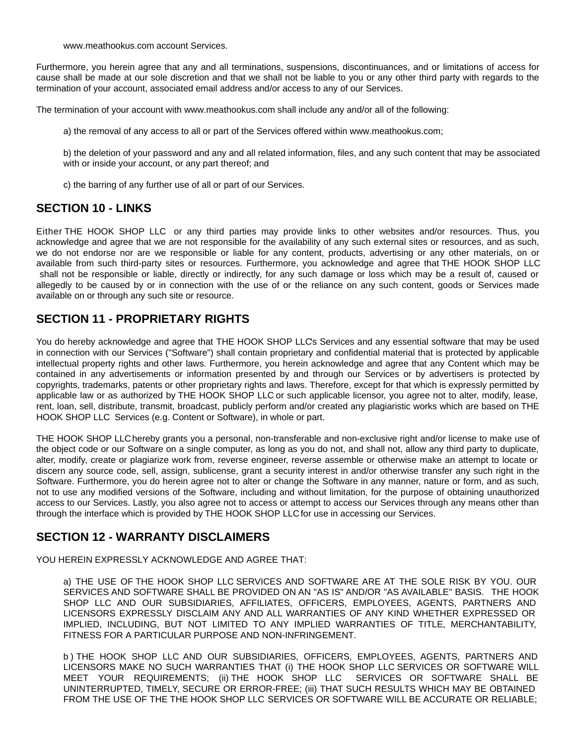www.meathookus.com account Services.

Furthermore, you herein agree that any and all terminations, suspensions, discontinuances, and or limitations of access for cause shall be made at our sole discretion and that we shall not be liable to you or any other third party with regards to the termination of your account, associated email address and/or access to any of our Services.

The termination of your account with www.meathookus.com shall include any and/or all of the following:

a) the removal of any access to all or part of the Services offered within www.meathookus.com;

b) the deletion of your password and any and all related information, files, and any such content that may be associated with or inside your account, or any part thereof; and

c) the barring of any further use of all or part of our Services.

### **SECTION 10 - LINKS**

Either THE HOOK SHOP LLC or any third parties may provide links to other websites and/or resources. Thus, you acknowledge and agree that we are not responsible for the availability of any such external sites or resources, and as such, we do not endorse nor are we responsible or liable for any content, products, advertising or any other materials, on or available from such third-party sites or resources. Furthermore, you acknowledge and agree that THE HOOK SHOP LLC shall not be responsible or liable, directly or indirectly, for any such damage or loss which may be a result of, caused or allegedly to be caused by or in connection with the use of or the reliance on any such content, goods or Services made available on or through any such site or resource.

### **SECTION 11 - PROPRIETARY RIGHTS**

You do hereby acknowledge and agree that THE HOOK SHOP LLC's Services and any essential software that may be used in connection with our Services ("Software") shall contain proprietary and confidential material that is protected by applicable intellectual property rights and other laws. Furthermore, you herein acknowledge and agree that any Content which may be contained in any advertisements or information presented by and through our Services or by advertisers is protected by copyrights, trademarks, patents or other proprietary rights and laws. Therefore, except for that which is expressly permitted by applicable law or as authorized by THE HOOK SHOP LLC or such applicable licensor, you agree not to alter, modify, lease, rent, loan, sell, distribute, transmit, broadcast, publicly perform and/or created any plagiaristic works which are based on THE HOOK SHOP LLC Services (e.g. Content or Software), in whole or part.

THE HOOK SHOP LLC hereby grants you a personal, non-transferable and non-exclusive right and/or license to make use of the object code or our Software on a single computer, as long as you do not, and shall not, allow any third party to duplicate, alter, modify, create or plagiarize work from, reverse engineer, reverse assemble or otherwise make an attempt to locate or discern any source code, sell, assign, sublicense, grant a security interest in and/or otherwise transfer any such right in the Software. Furthermore, you do herein agree not to alter or change the Software in any manner, nature or form, and as such, not to use any modified versions of the Software, including and without limitation, for the purpose of obtaining unauthorized access to our Services. Lastly, you also agree not to access or attempt to access our Services through any means other than through the interface which is provided by THE HOOK SHOP LLC for use in accessing our Services.

# **SECTION 12 - WARRANTY DISCLAIMERS**

YOU HEREIN EXPRESSLY ACKNOWLEDGE AND AGREE THAT:

a) THE USE OF THE HOOK SHOP LLC SERVICES AND SOFTWARE ARE AT THE SOLE RISK BY YOU. OUR SERVICES AND SOFTWARE SHALL BE PROVIDED ON AN "AS IS" AND/OR "AS AVAILABLE" BASIS. THE HOOK SHOP LLC AND OUR SUBSIDIARIES, AFFILIATES, OFFICERS, EMPLOYEES, AGENTS, PARTNERS AND LICENSORS EXPRESSLY DISCLAIM ANY AND ALL WARRANTIES OF ANY KIND WHETHER EXPRESSED OR IMPLIED, INCLUDING, BUT NOT LIMITED TO ANY IMPLIED WARRANTIES OF TITLE, MERCHANTABILITY, FITNESS FOR A PARTICULAR PURPOSE AND NON-INFRINGEMENT.

b ) THE HOOK SHOP LLC AND OUR SUBSIDIARIES, OFFICERS, EMPLOYEES, AGENTS, PARTNERS AND LICENSORS MAKE NO SUCH WARRANTIES THAT (i) THE HOOK SHOP LLC SERVICES OR SOFTWARE WILL MEET YOUR REQUIREMENTS; (ii) THE HOOK SHOP LLC SERVICES OR SOFTWARE SHALL BE UNINTERRUPTED, TIMELY, SECURE OR ERROR-FREE; (iii) THAT SUCH RESULTS WHICH MAY BE OBTAINED FROM THE USE OF THE THE HOOK SHOP LLC SERVICES OR SOFTWARE WILL BE ACCURATE OR RELIABLE;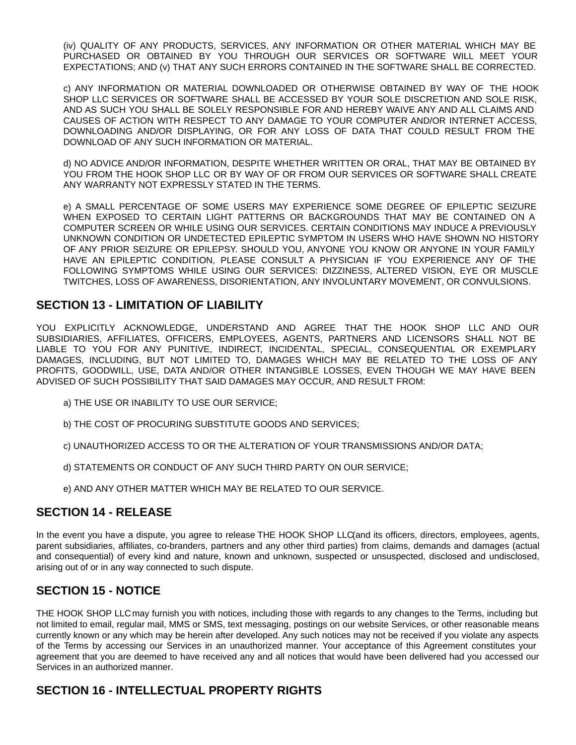(iv) QUALITY OF ANY PRODUCTS, SERVICES, ANY INFORMATION OR OTHER MATERIAL WHICH MAY BE PURCHASED OR OBTAINED BY YOU THROUGH OUR SERVICES OR SOFTWARE WILL MEET YOUR EXPECTATIONS; AND (v) THAT ANY SUCH ERRORS CONTAINED IN THE SOFTWARE SHALL BE CORRECTED.

c) ANY INFORMATION OR MATERIAL DOWNLOADED OR OTHERWISE OBTAINED BY WAY OF THE HOOK SHOP LLC SERVICES OR SOFTWARE SHALL BE ACCESSED BY YOUR SOLE DISCRETION AND SOLE RISK, AND AS SUCH YOU SHALL BE SOLELY RESPONSIBLE FOR AND HEREBY WAIVE ANY AND ALL CLAIMS AND CAUSES OF ACTION WITH RESPECT TO ANY DAMAGE TO YOUR COMPUTER AND/OR INTERNET ACCESS, DOWNLOADING AND/OR DISPLAYING, OR FOR ANY LOSS OF DATA THAT COULD RESULT FROM THE DOWNLOAD OF ANY SUCH INFORMATION OR MATERIAL.

d) NO ADVICE AND/OR INFORMATION, DESPITE WHETHER WRITTEN OR ORAL, THAT MAY BE OBTAINED BY YOU FROM THE HOOK SHOP LLC OR BY WAY OF OR FROM OUR SERVICES OR SOFTWARE SHALL CREATE ANY WARRANTY NOT EXPRESSLY STATED IN THE TERMS.

e) A SMALL PERCENTAGE OF SOME USERS MAY EXPERIENCE SOME DEGREE OF EPILEPTIC SEIZURE WHEN EXPOSED TO CERTAIN LIGHT PATTERNS OR BACKGROUNDS THAT MAY BE CONTAINED ON A COMPUTER SCREEN OR WHILE USING OUR SERVICES. CERTAIN CONDITIONS MAY INDUCE A PREVIOUSLY UNKNOWN CONDITION OR UNDETECTED EPILEPTIC SYMPTOM IN USERS WHO HAVE SHOWN NO HISTORY OF ANY PRIOR SEIZURE OR EPILEPSY. SHOULD YOU, ANYONE YOU KNOW OR ANYONE IN YOUR FAMILY HAVE AN EPILEPTIC CONDITION, PLEASE CONSULT A PHYSICIAN IF YOU EXPERIENCE ANY OF THE FOLLOWING SYMPTOMS WHILE USING OUR SERVICES: DIZZINESS, ALTERED VISION, EYE OR MUSCLE TWITCHES, LOSS OF AWARENESS, DISORIENTATION, ANY INVOLUNTARY MOVEMENT, OR CONVULSIONS.

#### **SECTION 13 - LIMITATION OF LIABILITY**

YOU EXPLICITLY ACKNOWLEDGE, UNDERSTAND AND AGREE THAT THE HOOK SHOP LLC AND OUR SUBSIDIARIES, AFFILIATES, OFFICERS, EMPLOYEES, AGENTS, PARTNERS AND LICENSORS SHALL NOT BE LIABLE TO YOU FOR ANY PUNITIVE, INDIRECT, INCIDENTAL, SPECIAL, CONSEQUENTIAL OR EXEMPLARY DAMAGES, INCLUDING, BUT NOT LIMITED TO, DAMAGES WHICH MAY BE RELATED TO THE LOSS OF ANY PROFITS, GOODWILL, USE, DATA AND/OR OTHER INTANGIBLE LOSSES, EVEN THOUGH WE MAY HAVE BEEN ADVISED OF SUCH POSSIBILITY THAT SAID DAMAGES MAY OCCUR, AND RESULT FROM:

- a) THE USE OR INABILITY TO USE OUR SERVICE;
- b) THE COST OF PROCURING SUBSTITUTE GOODS AND SERVICES;
- c) UNAUTHORIZED ACCESS TO OR THE ALTERATION OF YOUR TRANSMISSIONS AND/OR DATA;
- d) STATEMENTS OR CONDUCT OF ANY SUCH THIRD PARTY ON OUR SERVICE;
- e) AND ANY OTHER MATTER WHICH MAY BE RELATED TO OUR SERVICE.

#### **SECTION 14 - RELEASE**

In the event you have a dispute, you agree to release THE HOOK SHOP LLC(and its officers, directors, employees, agents, parent subsidiaries, affiliates, co-branders, partners and any other third parties) from claims, demands and damages (actual and consequential) of every kind and nature, known and unknown, suspected or unsuspected, disclosed and undisclosed, arising out of or in any way connected to such dispute.

#### **SECTION 15 - NOTICE**

THE HOOK SHOP LLC may furnish you with notices, including those with regards to any changes to the Terms, including but not limited to email, regular mail, MMS or SMS, text messaging, postings on our website Services, or other reasonable means currently known or any which may be herein after developed. Any such notices may not be received if you violate any aspects of the Terms by accessing our Services in an unauthorized manner. Your acceptance of this Agreement constitutes your agreement that you are deemed to have received any and all notices that would have been delivered had you accessed our Services in an authorized manner.

# **SECTION 16 - INTELLECTUAL PROPERTY RIGHTS**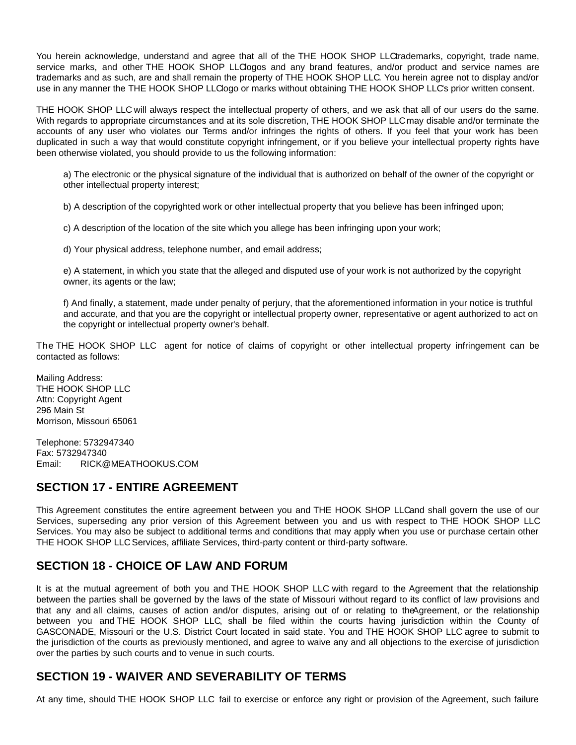You herein acknowledge, understand and agree that all of the THE HOOK SHOP LLCtrademarks, copyright, trade name, service marks, and other THE HOOK SHOP LLClogos and any brand features, and/or product and service names are trademarks and as such, are and shall remain the property of THE HOOK SHOP LLC. You herein agree not to display and/or use in any manner the THE HOOK SHOP LLClogo or marks without obtaining THE HOOK SHOP LLC's prior written consent.

THE HOOK SHOP LLC will always respect the intellectual property of others, and we ask that all of our users do the same. With regards to appropriate circumstances and at its sole discretion, THE HOOK SHOP LLC may disable and/or terminate the accounts of any user who violates our Terms and/or infringes the rights of others. If you feel that your work has been duplicated in such a way that would constitute copyright infringement, or if you believe your intellectual property rights have been otherwise violated, you should provide to us the following information:

a) The electronic or the physical signature of the individual that is authorized on behalf of the owner of the copyright or other intellectual property interest;

b) A description of the copyrighted work or other intellectual property that you believe has been infringed upon;

c) A description of the location of the site which you allege has been infringing upon your work;

d) Your physical address, telephone number, and email address;

e) A statement, in which you state that the alleged and disputed use of your work is not authorized by the copyright owner, its agents or the law;

f) And finally, a statement, made under penalty of perjury, that the aforementioned information in your notice is truthful and accurate, and that you are the copyright or intellectual property owner, representative or agent authorized to act on the copyright or intellectual property owner's behalf.

The THE HOOK SHOP LLC agent for notice of claims of copyright or other intellectual property infringement can be contacted as follows:

Mailing Address: THE HOOK SHOP LLC Attn: Copyright Agent 296 Main St Morrison, Missouri 65061

Telephone: 5732947340 Fax: 5732947340 Email: RICK@MEATHOOKUS.COM

# **SECTION 17 - ENTIRE AGREEMENT**

This Agreement constitutes the entire agreement between you and THE HOOK SHOP LLCand shall govern the use of our Services, superseding any prior version of this Agreement between you and us with respect to THE HOOK SHOP LLC Services. You may also be subject to additional terms and conditions that may apply when you use or purchase certain other THE HOOK SHOP LLC Services, affiliate Services, third-party content or third-party software.

# **SECTION 18 - CHOICE OF LAW AND FORUM**

It is at the mutual agreement of both you and THE HOOK SHOP LLC with regard to the Agreement that the relationship between the parties shall be governed by the laws of the state of Missouri without regard to its conflict of law provisions and that any and all claims, causes of action and/or disputes, arising out of or relating to the Agreement, or the relationship between you and THE HOOK SHOP LLC, shall be filed within the courts having jurisdiction within the County of GASCONADE, Missouri or the U.S. District Court located in said state. You and THE HOOK SHOP LLC agree to submit to the jurisdiction of the courts as previously mentioned, and agree to waive any and all objections to the exercise of jurisdiction over the parties by such courts and to venue in such courts.

# **SECTION 19 - WAIVER AND SEVERABILITY OF TERMS**

At any time, should THE HOOK SHOP LLC fail to exercise or enforce any right or provision of the Agreement, such failure